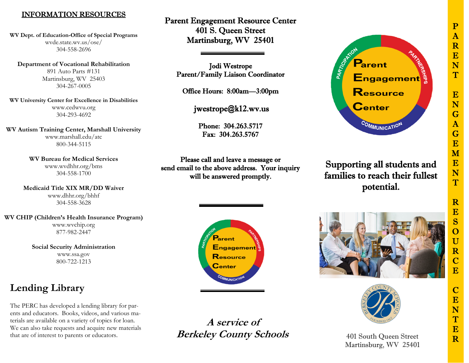## P A R E N  $\overline{T}$ E N G A G E M E N T R E S O U R  $\mathbf C$ E  $\mathbf C$ E N  $\mathbf T$ E R

## INFORMATION RESOURCES

**WV Dept. of Education-Office of Special Programs**  wvde.state.wv.us/ose/ 304-558-2696

**Department of Vocational Rehabilitation**  891 Auto Parts #131 Martinsburg, WV 25403 304-267-0005

**WV University Center for Excellence in Disabilities**  <www.cedwvu.org> 304-293-4692

**WV Autism Training Center, Marshall University**  <www.marshall.edu/atc> 800-344-5115

> **WV Bureau for Medical Services** <www.wvdhhr.org/bms> 304-558-1700

**Medicaid Title XIX MR/DD Waiver**  <www.dhhr.org/bhhf> 304-558-3628

**WV CHIP (Children's Health Insurance Program)**  <www.wvchip.org> 877-982-2447

> **Social Security Administration**  <www.ssa.gov> 800-722-1213

# **Lending Library**

The PERC has developed a lending library for parents and educators. Books, videos, and various materials are available on a variety of topics for loan. We can also take requests and acquire new materials that are of interest to parents or educators.

Parent Engagement Resource Center 401 S. Queen Street Martinsburg, WV 25401

Jodi Westrope Parent/Family Liaison Coordinator

Office Hours: 8:00am—3:00pm

[jwestrope@k12.wv.us](mailto:jwestrope@k12.wv.us)

Phone: 304.263.5717 Fax: 304.263.5767

Please call and leave a message or send email to the above address. Your inquiry will be answered promptly.



**A service of Berkeley County Schools** 



## Supporting all students and families to reach their fullest potential.





401 South Queen Street Martinsburg, WV 25401